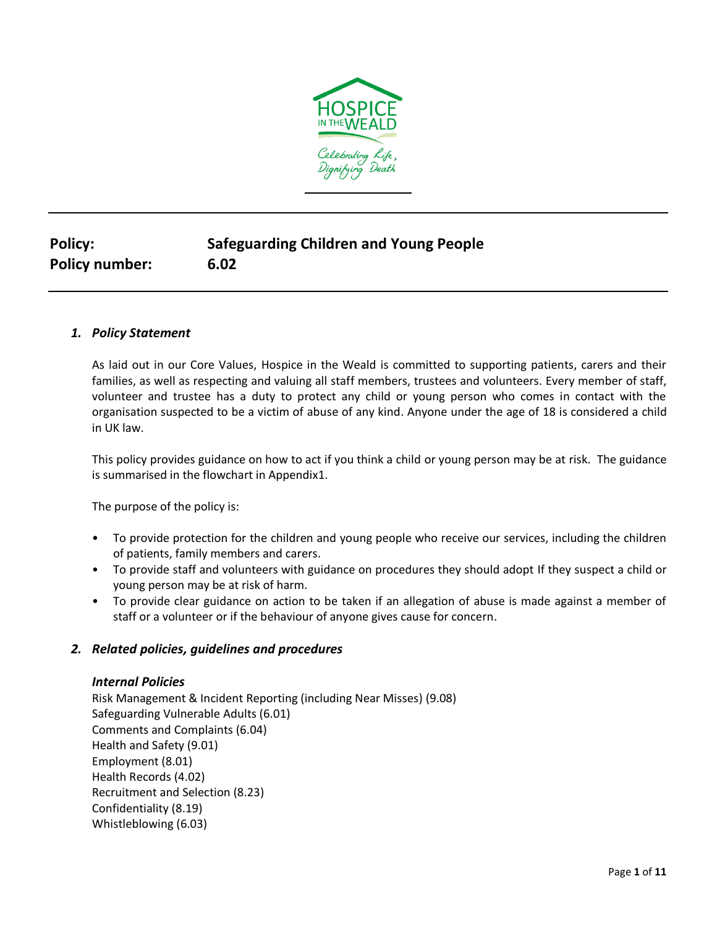

# **Policy: Safeguarding Children and Young People Policy number: 6.02**

# *1. Policy Statement*

As laid out in our Core Values, Hospice in the Weald is committed to supporting patients, carers and their families, as well as respecting and valuing all staff members, trustees and volunteers. Every member of staff, volunteer and trustee has a duty to protect any child or young person who comes in contact with the organisation suspected to be a victim of abuse of any kind. Anyone under the age of 18 is considered a child in UK law.

This policy provides guidance on how to act if you think a child or young person may be at risk. The guidance is summarised in the flowchart in Appendix1.

The purpose of the policy is:

- To provide protection for the children and young people who receive our services, including the children of patients, family members and carers.
- To provide staff and volunteers with guidance on procedures they should adopt If they suspect a child or young person may be at risk of harm.
- To provide clear guidance on action to be taken if an allegation of abuse is made against a member of staff or a volunteer or if the behaviour of anyone gives cause for concern.

# *2. Related policies, guidelines and procedures*

#### *Internal Policies*

Risk Management & Incident Reporting (including Near Misses) (9.08) Safeguarding Vulnerable Adults (6.01) Comments and Complaints (6.04) Health and Safety (9.01) Employment (8.01) Health Records (4.02) Recruitment and Selection (8.23) Confidentiality (8.19) Whistleblowing (6.03)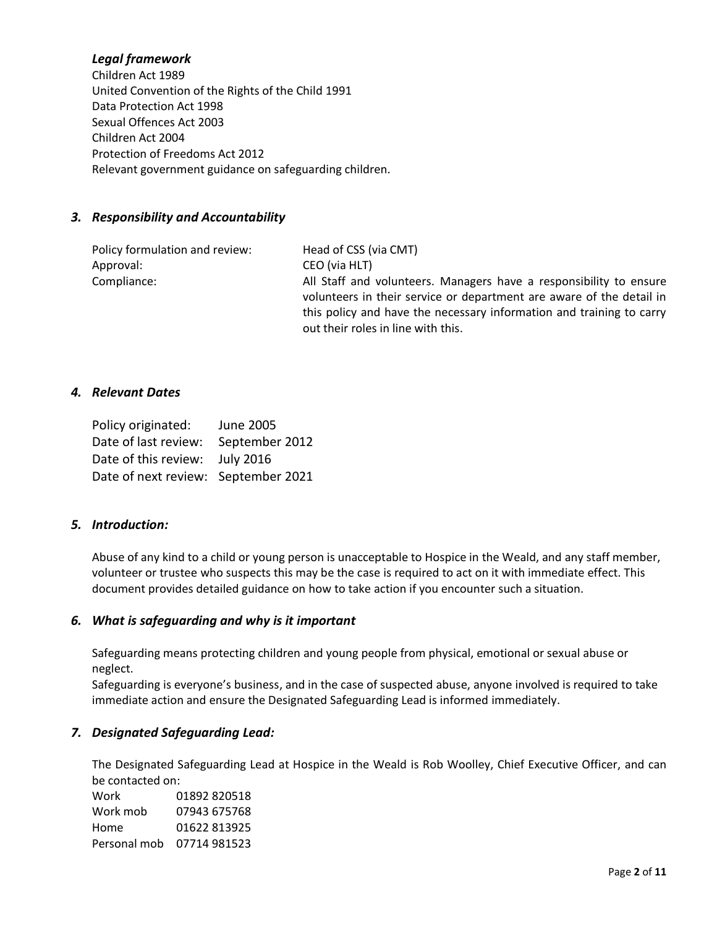# *Legal framework*

Children Act 1989 United Convention of the Rights of the Child 1991 Data Protection Act 1998 Sexual Offences Act 2003 Children Act 2004 Protection of Freedoms Act 2012 Relevant government guidance on safeguarding children.

#### *3. Responsibility and Accountability*

Policy formulation and review: Head of CSS (via CMT) Approval: CEO (via HLT)

Compliance: All Staff and volunteers. Managers have a responsibility to ensure volunteers in their service or department are aware of the detail in this policy and have the necessary information and training to carry out their roles in line with this.

#### *4. Relevant Dates*

| Policy originated:                  | <b>June 2005</b> |
|-------------------------------------|------------------|
| Date of last review:                | September 2012   |
| Date of this review:                | <b>July 2016</b> |
| Date of next review: September 2021 |                  |

#### *5. Introduction:*

Abuse of any kind to a child or young person is unacceptable to Hospice in the Weald, and any staff member, volunteer or trustee who suspects this may be the case is required to act on it with immediate effect. This document provides detailed guidance on how to take action if you encounter such a situation.

#### *6. What is safeguarding and why is it important*

Safeguarding means protecting children and young people from physical, emotional or sexual abuse or neglect.

Safeguarding is everyone's business, and in the case of suspected abuse, anyone involved is required to take immediate action and ensure the Designated Safeguarding Lead is informed immediately.

#### *7. Designated Safeguarding Lead:*

The Designated Safeguarding Lead at Hospice in the Weald is Rob Woolley, Chief Executive Officer, and can be contacted on:

| Work         | 01892 820518 |
|--------------|--------------|
| Work mob     | 07943 675768 |
| Home         | 01622813925  |
| Personal mob | 07714981523  |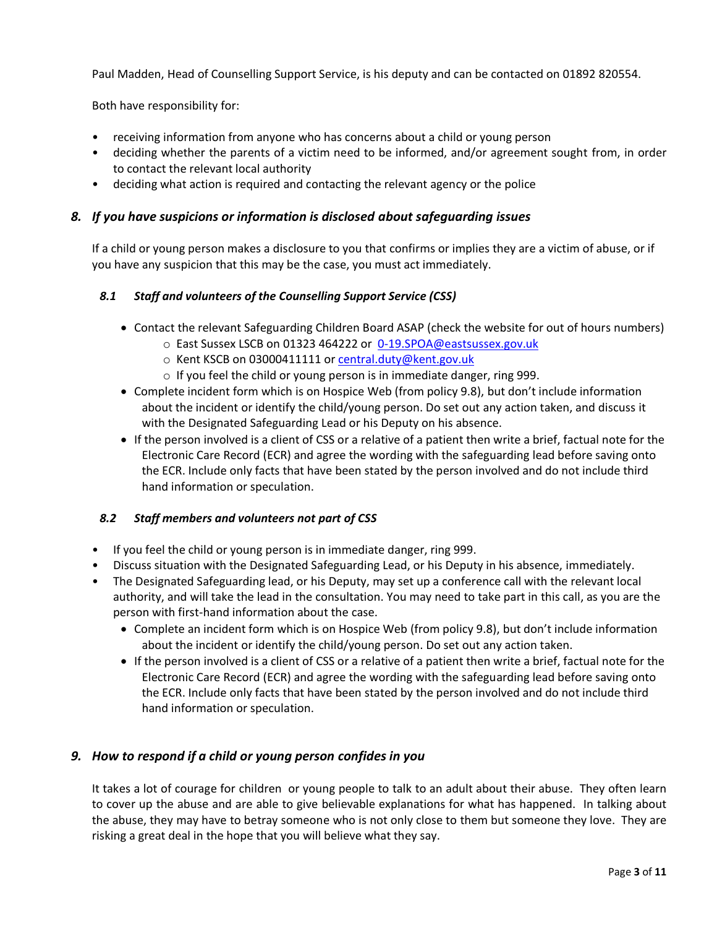Paul Madden, Head of Counselling Support Service, is his deputy and can be contacted on 01892 820554.

Both have responsibility for:

- receiving information from anyone who has concerns about a child or young person
- deciding whether the parents of a victim need to be informed, and/or agreement sought from, in order to contact the relevant local authority
- deciding what action is required and contacting the relevant agency or the police

#### *8. If you have suspicions or information is disclosed about safeguarding issues*

If a child or young person makes a disclosure to you that confirms or implies they are a victim of abuse, or if you have any suspicion that this may be the case, you must act immediately.

#### *8.1 Staff and volunteers of the Counselling Support Service (CSS)*

- Contact the relevant Safeguarding Children Board ASAP (check the website for out of hours numbers)
	- o East Sussex LSCB on 01323 464222 or [0-19.SPOA@eastsussex.gov.uk](mailto:0-19.SPOA@eastsussex.gov.uk)
	- o Kent KSCB on 03000411111 or [central.duty@kent.gov.uk](mailto:central.duty@kent.gov.uk)
	- o If you feel the child or young person is in immediate danger, ring 999.
- Complete incident form which is on Hospice Web (from policy 9.8), but don't include information about the incident or identify the child/young person. Do set out any action taken, and discuss it with the Designated Safeguarding Lead or his Deputy on his absence.
- If the person involved is a client of CSS or a relative of a patient then write a brief, factual note for the Electronic Care Record (ECR) and agree the wording with the safeguarding lead before saving onto the ECR. Include only facts that have been stated by the person involved and do not include third hand information or speculation.

# *8.2 Staff members and volunteers not part of CSS*

- If you feel the child or young person is in immediate danger, ring 999.
- Discuss situation with the Designated Safeguarding Lead, or his Deputy in his absence, immediately.
- The Designated Safeguarding lead, or his Deputy, may set up a conference call with the relevant local authority, and will take the lead in the consultation. You may need to take part in this call, as you are the person with first-hand information about the case.
	- Complete an incident form which is on Hospice Web (from policy 9.8), but don't include information about the incident or identify the child/young person. Do set out any action taken.
	- If the person involved is a client of CSS or a relative of a patient then write a brief, factual note for the Electronic Care Record (ECR) and agree the wording with the safeguarding lead before saving onto the ECR. Include only facts that have been stated by the person involved and do not include third hand information or speculation.

# *9. How to respond if a child or young person confides in you*

It takes a lot of courage for children or young people to talk to an adult about their abuse. They often learn to cover up the abuse and are able to give believable explanations for what has happened. In talking about the abuse, they may have to betray someone who is not only close to them but someone they love. They are risking a great deal in the hope that you will believe what they say.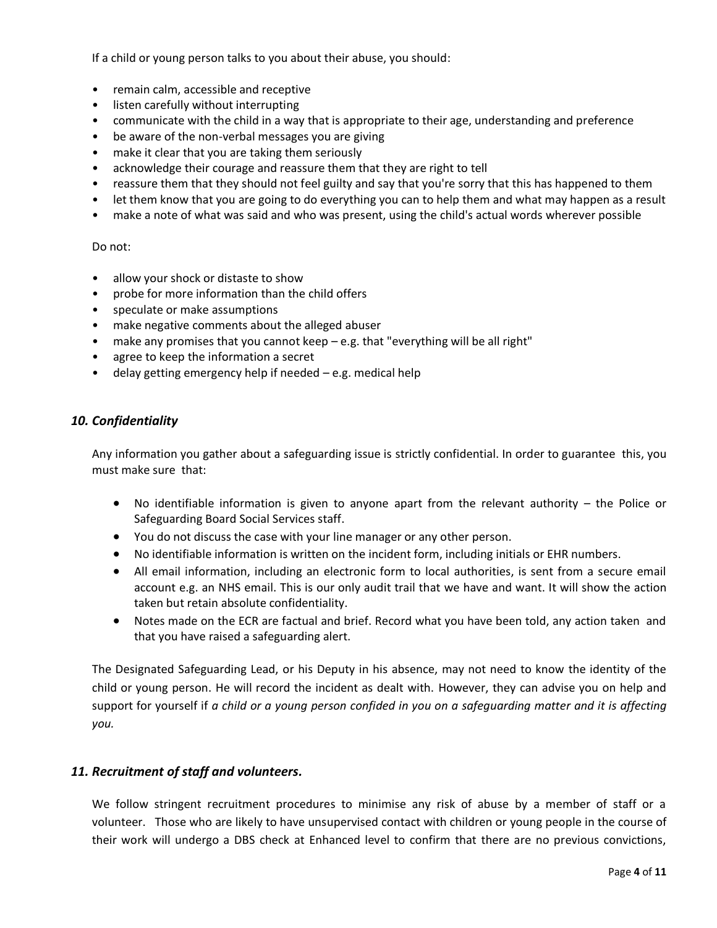If a child or young person talks to you about their abuse, you should:

- remain calm, accessible and receptive
- listen carefully without interrupting
- communicate with the child in a way that is appropriate to their age, understanding and preference
- be aware of the non-verbal messages you are giving
- make it clear that you are taking them seriously
- acknowledge their courage and reassure them that they are right to tell
- reassure them that they should not feel guilty and say that you're sorry that this has happened to them
- let them know that you are going to do everything you can to help them and what may happen as a result
- make a note of what was said and who was present, using the child's actual words wherever possible

#### Do not:

- allow your shock or distaste to show
- probe for more information than the child offers
- speculate or make assumptions
- make negative comments about the alleged abuser
- make any promises that you cannot keep e.g. that "everything will be all right"
- agree to keep the information a secret
- delay getting emergency help if needed e.g. medical help

#### *10. Confidentiality*

Any information you gather about a safeguarding issue is strictly confidential. In order to guarantee this, you must make sure that:

- No identifiable information is given to anyone apart from the relevant authority the Police or Safeguarding Board Social Services staff.
- You do not discuss the case with your line manager or any other person.
- No identifiable information is written on the incident form, including initials or EHR numbers.
- All email information, including an electronic form to local authorities, is sent from a secure email account e.g. an NHS email. This is our only audit trail that we have and want. It will show the action taken but retain absolute confidentiality.
- Notes made on the ECR are factual and brief. Record what you have been told, any action taken and that you have raised a safeguarding alert.

The Designated Safeguarding Lead, or his Deputy in his absence, may not need to know the identity of the child or young person. He will record the incident as dealt with. However, they can advise you on help and support for yourself if *a child or a young person confided in you on a safeguarding matter and it is affecting you.*

#### *11. Recruitment of staff and volunteers.*

We follow stringent recruitment procedures to minimise any risk of abuse by a member of staff or a volunteer. Those who are likely to have unsupervised contact with children or young people in the course of their work will undergo a DBS check at Enhanced level to confirm that there are no previous convictions,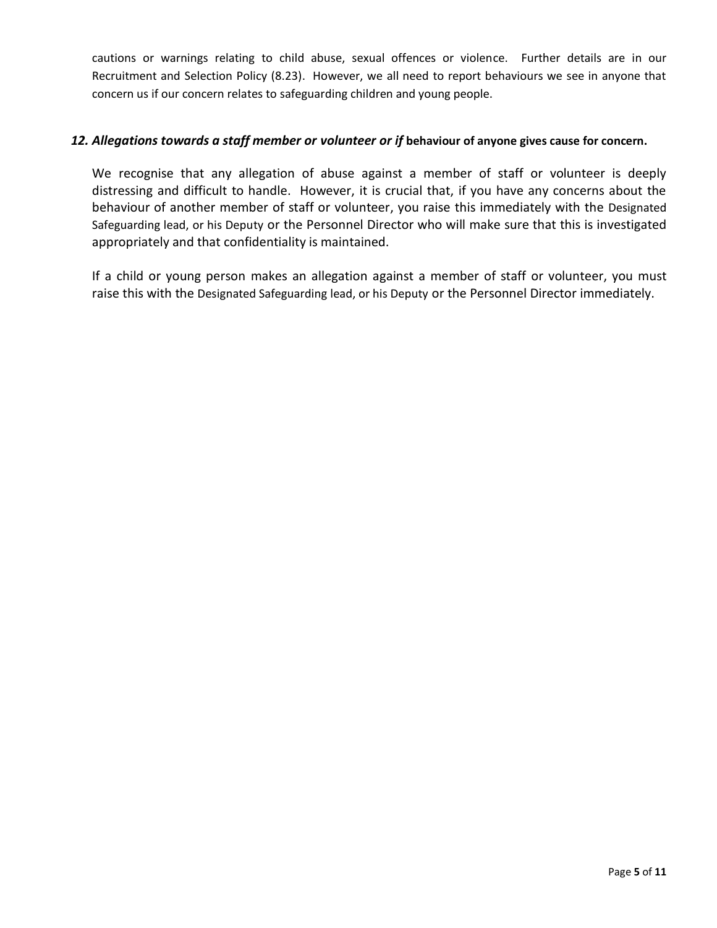cautions or warnings relating to child abuse, sexual offences or violence. Further details are in our Recruitment and Selection Policy (8.23). However, we all need to report behaviours we see in anyone that concern us if our concern relates to safeguarding children and young people.

# *12. Allegations towards a staff member or volunteer or if* **behaviour of anyone gives cause for concern.**

We recognise that any allegation of abuse against a member of staff or volunteer is deeply distressing and difficult to handle. However, it is crucial that, if you have any concerns about the behaviour of another member of staff or volunteer, you raise this immediately with the Designated Safeguarding lead, or his Deputy or the Personnel Director who will make sure that this is investigated appropriately and that confidentiality is maintained.

If a child or young person makes an allegation against a member of staff or volunteer, you must raise this with the Designated Safeguarding lead, or his Deputy or the Personnel Director immediately.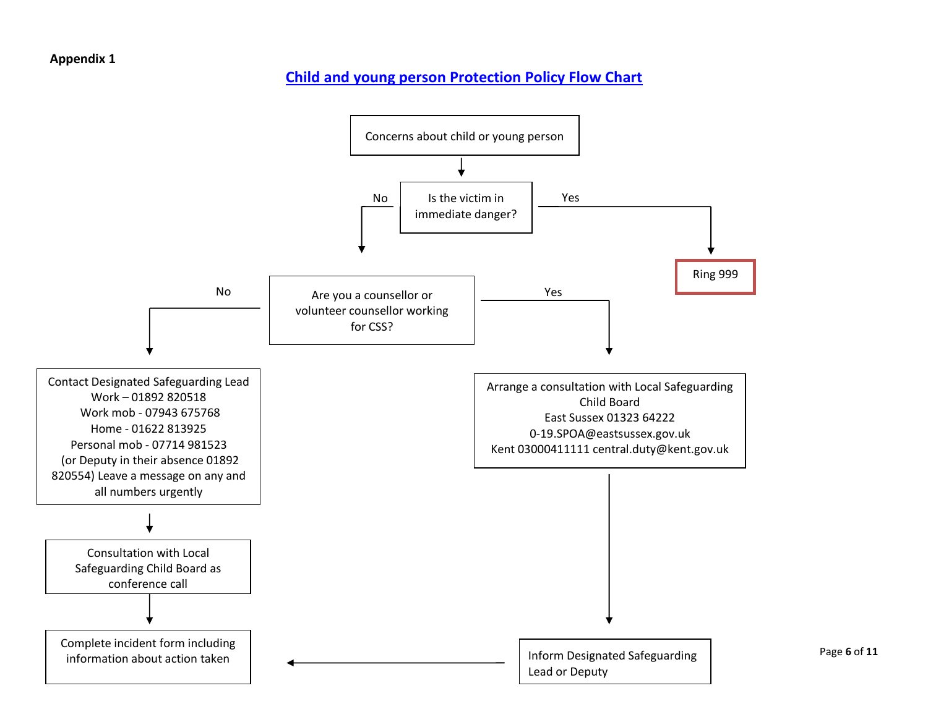# **Appendix 1**

# **[Child and young person Protection Policy Flow Chart](file:///C:/Users/rob.woolley/AppData/Local/Microsoft/Windows/Temporary%20Internet%20Files/Forms/CSS%20Forms/Child%20Protection%20Policy%20Flow%20Chart%20Sept%202012.doc)**



Page **6** of **11**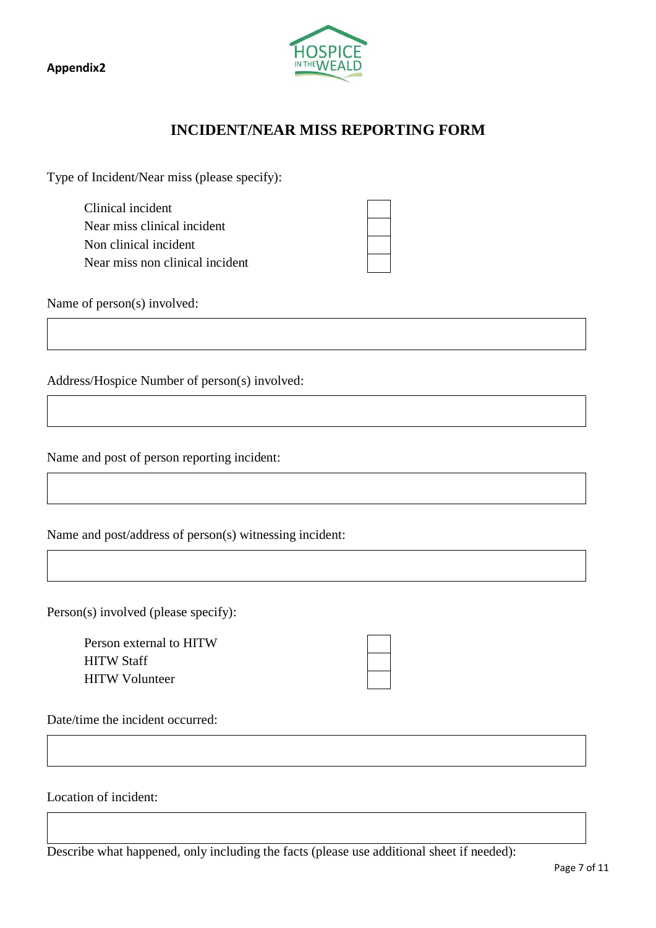**Appendix2**



# **INCIDENT/NEAR MISS REPORTING FORM**

Type of Incident/Near miss (please specify):

Clinical incident Near miss clinical incident Non clinical incident Near miss non clinical incident

Name of person(s) involved:

Address/Hospice Number of person(s) involved:

Name and post of person reporting incident:

Name and post/address of person(s) witnessing incident:

Person(s) involved (please specify):

Person external to HITW HITW Staff HITW Volunteer

Date/time the incident occurred:

Location of incident:

Describe what happened, only including the facts (please use additional sheet if needed):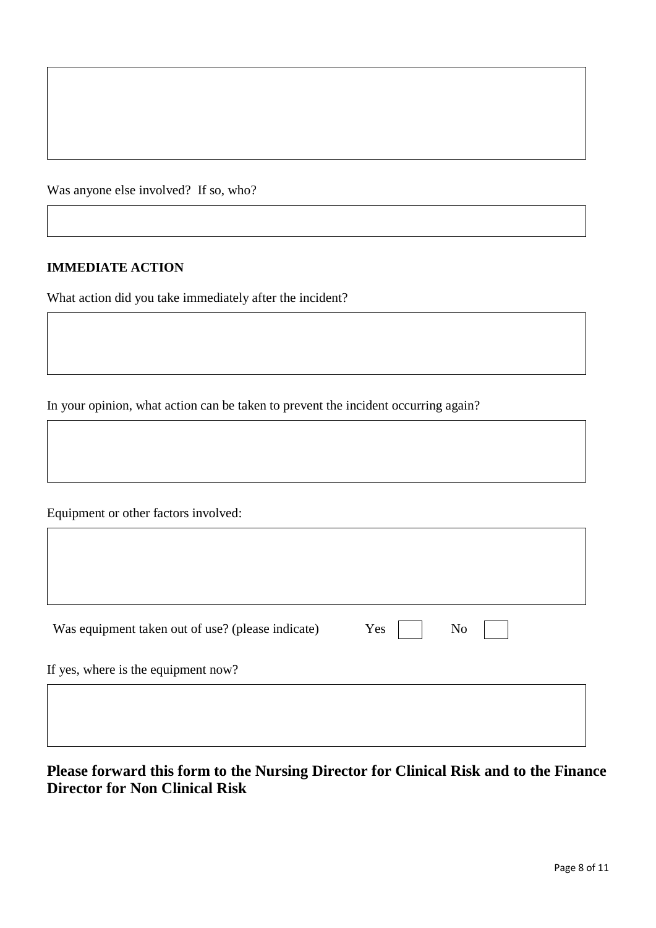Was anyone else involved? If so, who?

# **IMMEDIATE ACTION**

What action did you take immediately after the incident?

In your opinion, what action can be taken to prevent the incident occurring again?

Equipment or other factors involved:

 $\mathsf{r}$ 

| Was equipment taken out of use? (please indicate) | Yes | N <sub>o</sub> |  |
|---------------------------------------------------|-----|----------------|--|
| If yes, where is the equipment now?               |     |                |  |
|                                                   |     |                |  |

**Please forward this form to the Nursing Director for Clinical Risk and to the Finance Director for Non Clinical Risk**

٦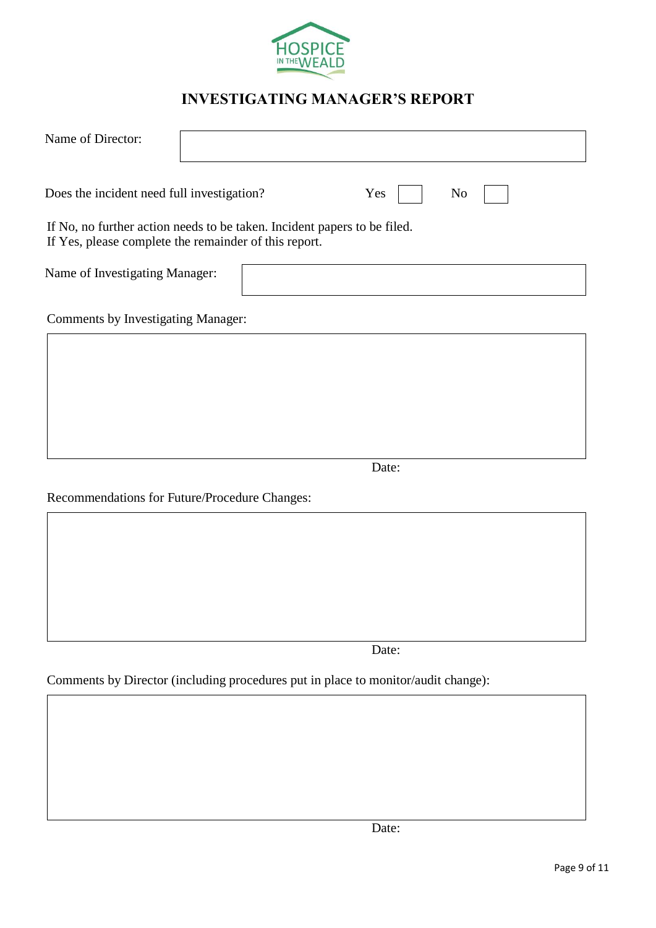

# **INVESTIGATING MANAGER'S REPORT**

| Name of Director:                                                                                                                 |  |       |                |
|-----------------------------------------------------------------------------------------------------------------------------------|--|-------|----------------|
| Does the incident need full investigation?                                                                                        |  | Yes   | N <sub>o</sub> |
| If No, no further action needs to be taken. Incident papers to be filed.<br>If Yes, please complete the remainder of this report. |  |       |                |
| Name of Investigating Manager:                                                                                                    |  |       |                |
| Comments by Investigating Manager:                                                                                                |  |       |                |
|                                                                                                                                   |  |       |                |
|                                                                                                                                   |  |       |                |
|                                                                                                                                   |  |       |                |
|                                                                                                                                   |  | Date: |                |
| Recommendations for Future/Procedure Changes:                                                                                     |  |       |                |
|                                                                                                                                   |  |       |                |
|                                                                                                                                   |  |       |                |
|                                                                                                                                   |  |       |                |
|                                                                                                                                   |  |       |                |

Date:

Comments by Director (including procedures put in place to monitor/audit change):

Date: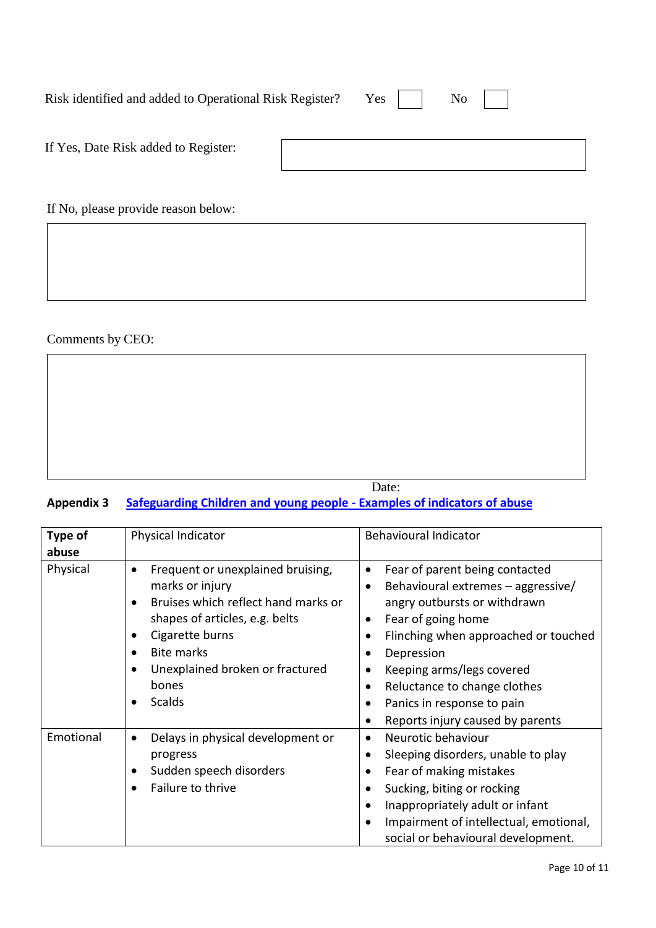| Risk identified and added to Operational Risk Register? Yes     No |  |  |
|--------------------------------------------------------------------|--|--|
|                                                                    |  |  |

| If Yes, Date Risk added to Register: |  |
|--------------------------------------|--|
|                                      |  |

If No, please provide reason below:

Comments by CEO:

|  | Date: |  |
|--|-------|--|

# **Appendix 3 Safeguarding Children and young people - [Examples of indicators of abuse](file:///C:/Users/rob.woolley/AppData/Local/Microsoft/Windows/Temporary%20Internet%20Files/Forms/CSS%20Forms/Safeguarding%20Children%20-%20Examples%20of%20Indicators%20of%20Abuse%20Sept%202012.doc)**

| Type of           | Physical Indicator                                                                                                                                                                                                                                                                                  | <b>Behavioural Indicator</b>                                                                                                                                                                                                                                                                                                                                                                               |
|-------------------|-----------------------------------------------------------------------------------------------------------------------------------------------------------------------------------------------------------------------------------------------------------------------------------------------------|------------------------------------------------------------------------------------------------------------------------------------------------------------------------------------------------------------------------------------------------------------------------------------------------------------------------------------------------------------------------------------------------------------|
| abuse<br>Physical | Frequent or unexplained bruising,<br>$\bullet$<br>marks or injury<br>Bruises which reflect hand marks or<br>shapes of articles, e.g. belts<br>Cigarette burns<br>$\bullet$<br><b>Bite marks</b><br>$\bullet$<br>Unexplained broken or fractured<br>$\bullet$<br>bones<br><b>Scalds</b><br>$\bullet$ | Fear of parent being contacted<br>$\bullet$<br>Behavioural extremes - aggressive/<br>$\bullet$<br>angry outbursts or withdrawn<br>Fear of going home<br>$\bullet$<br>Flinching when approached or touched<br>$\bullet$<br>Depression<br>Keeping arms/legs covered<br>$\bullet$<br>Reluctance to change clothes<br>$\bullet$<br>Panics in response to pain<br>$\bullet$<br>Reports injury caused by parents |
| Emotional         | Delays in physical development or<br>$\bullet$<br>progress<br>Sudden speech disorders<br>٠<br>Failure to thrive                                                                                                                                                                                     | Neurotic behaviour<br>$\bullet$<br>Sleeping disorders, unable to play<br>$\bullet$<br>Fear of making mistakes<br>$\bullet$<br>Sucking, biting or rocking<br>$\bullet$<br>Inappropriately adult or infant<br>٠<br>Impairment of intellectual, emotional,<br>social or behavioural development.                                                                                                              |